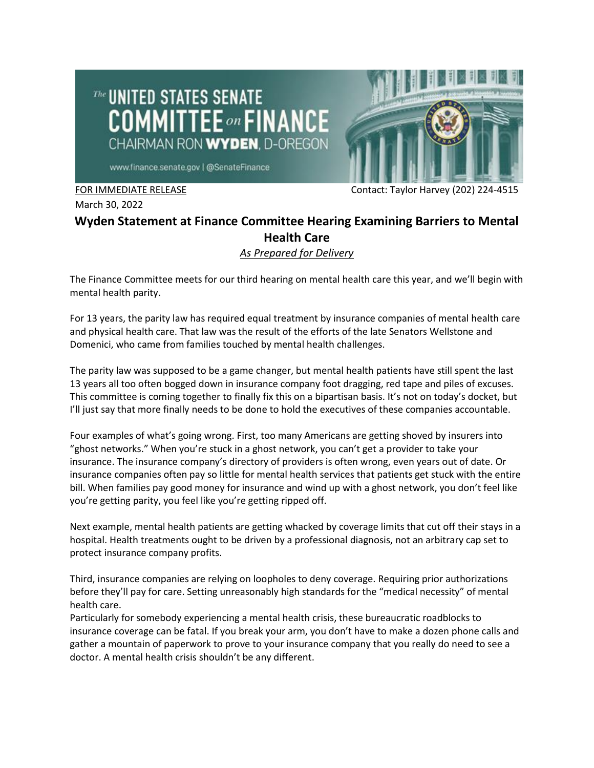



www.finance.senate.gov | @SenateFinance

March 30, 2022

FOR IMMEDIATE RELEASE Contact: Taylor Harvey (202) 224-4515

## **Wyden Statement at Finance Committee Hearing Examining Barriers to Mental Health Care**

## *As Prepared for Delivery*

The Finance Committee meets for our third hearing on mental health care this year, and we'll begin with mental health parity.

For 13 years, the parity law has required equal treatment by insurance companies of mental health care and physical health care. That law was the result of the efforts of the late Senators Wellstone and Domenici, who came from families touched by mental health challenges.

The parity law was supposed to be a game changer, but mental health patients have still spent the last 13 years all too often bogged down in insurance company foot dragging, red tape and piles of excuses. This committee is coming together to finally fix this on a bipartisan basis. It's not on today's docket, but I'll just say that more finally needs to be done to hold the executives of these companies accountable.

Four examples of what's going wrong. First, too many Americans are getting shoved by insurers into "ghost networks." When you're stuck in a ghost network, you can't get a provider to take your insurance. The insurance company's directory of providers is often wrong, even years out of date. Or insurance companies often pay so little for mental health services that patients get stuck with the entire bill. When families pay good money for insurance and wind up with a ghost network, you don't feel like you're getting parity, you feel like you're getting ripped off.

Next example, mental health patients are getting whacked by coverage limits that cut off their stays in a hospital. Health treatments ought to be driven by a professional diagnosis, not an arbitrary cap set to protect insurance company profits.

Third, insurance companies are relying on loopholes to deny coverage. Requiring prior authorizations before they'll pay for care. Setting unreasonably high standards for the "medical necessity" of mental health care.

Particularly for somebody experiencing a mental health crisis, these bureaucratic roadblocks to insurance coverage can be fatal. If you break your arm, you don't have to make a dozen phone calls and gather a mountain of paperwork to prove to your insurance company that you really do need to see a doctor. A mental health crisis shouldn't be any different.